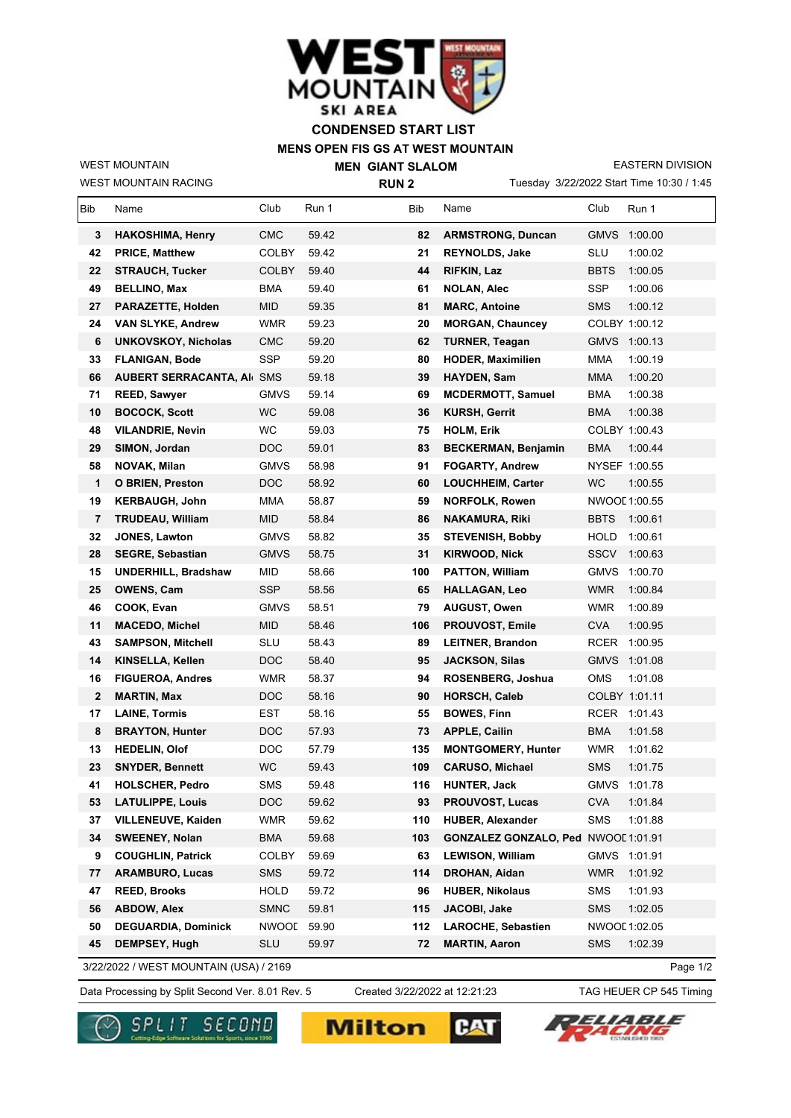

## **MENS OPEN FIS GS AT WEST MOUNTAIN CONDENSED START LIST**

WEST MOUNTAIN RACING WEST MOUNTAIN

**MEN GIANT SLALOM RUN 2**

Tuesday 3/22/2022 Start Time 10:30 / 1:45 EASTERN DIVISION

| Bib | Name                                   | Club         | Run 1 | Bib | Name                         | Club          | Run 1         |
|-----|----------------------------------------|--------------|-------|-----|------------------------------|---------------|---------------|
| 3   | <b>HAKOSHIMA, Henry</b>                | <b>CMC</b>   | 59.42 | 82  | <b>ARMSTRONG, Duncan</b>     | <b>GMVS</b>   | 1:00.00       |
| 42  | <b>PRICE, Matthew</b>                  | <b>COLBY</b> | 59.42 | 21  | <b>REYNOLDS, Jake</b>        | <b>SLU</b>    | 1:00.02       |
| 22  | <b>STRAUCH, Tucker</b>                 | COLBY        | 59.40 | 44  | RIFKIN, Laz                  | <b>BBTS</b>   | 1:00.05       |
| 49  | <b>BELLINO, Max</b>                    | <b>BMA</b>   | 59.40 | 61  | <b>NOLAN, Alec</b>           | SSP           | 1:00.06       |
| 27  | <b>PARAZETTE, Holden</b>               | <b>MID</b>   | 59.35 | 81  | <b>MARC, Antoine</b>         | <b>SMS</b>    | 1:00.12       |
| 24  | <b>VAN SLYKE, Andrew</b>               | WMR          | 59.23 | 20  | <b>MORGAN, Chauncey</b>      |               | COLBY 1:00.12 |
| 6   | <b>UNKOVSKOY, Nicholas</b>             | <b>CMC</b>   | 59.20 | 62  | <b>TURNER, Teagan</b>        | <b>GMVS</b>   | 1:00.13       |
| 33  | <b>FLANIGAN, Bode</b>                  | <b>SSP</b>   | 59.20 | 80  | <b>HODER, Maximilien</b>     | MMA           | 1:00.19       |
| 66  | <b>AUBERT SERRACANTA, AI SMS</b>       |              | 59.18 | 39  | HAYDEN, Sam                  | <b>MMA</b>    | 1:00.20       |
| 71  | <b>REED, Sawyer</b>                    | <b>GMVS</b>  | 59.14 | 69  | <b>MCDERMOTT, Samuel</b>     | <b>BMA</b>    | 1:00.38       |
| 10  | <b>BOCOCK, Scott</b>                   | <b>WC</b>    | 59.08 | 36  | <b>KURSH, Gerrit</b>         | BMA           | 1:00.38       |
| 48  | <b>VILANDRIE, Nevin</b>                | WC           | 59.03 | 75  | <b>HOLM, Erik</b>            |               | COLBY 1:00.43 |
| 29  | SIMON, Jordan                          | DOC          | 59.01 | 83  | <b>BECKERMAN, Benjamin</b>   | <b>BMA</b>    | 1:00.44       |
| 58  | NOVAK, Milan                           | <b>GMVS</b>  | 58.98 | 91  | <b>FOGARTY, Andrew</b>       |               | NYSEF 1:00.55 |
| 1   | O BRIEN, Preston                       | <b>DOC</b>   | 58.92 | 60  | <b>LOUCHHEIM, Carter</b>     | WC            | 1:00.55       |
| 19  | <b>KERBAUGH, John</b>                  | <b>MMA</b>   | 58.87 | 59  | <b>NORFOLK, Rowen</b>        |               | NWOOL 1:00.55 |
| 7   | <b>TRUDEAU, William</b>                | <b>MID</b>   | 58.84 | 86  | <b>NAKAMURA, Riki</b>        | <b>BBTS</b>   | 1:00.61       |
| 32  | <b>JONES, Lawton</b>                   | <b>GMVS</b>  | 58.82 | 35  | <b>STEVENISH, Bobby</b>      | <b>HOLD</b>   | 1:00.61       |
| 28  | <b>SEGRE, Sebastian</b>                | <b>GMVS</b>  | 58.75 | 31  | <b>KIRWOOD, Nick</b>         | <b>SSCV</b>   | 1:00.63       |
| 15  | <b>UNDERHILL, Bradshaw</b>             | <b>MID</b>   | 58.66 | 100 | <b>PATTON, William</b>       | <b>GMVS</b>   | 1:00.70       |
| 25  | <b>OWENS, Cam</b>                      | <b>SSP</b>   | 58.56 | 65  | <b>HALLAGAN, Leo</b>         | <b>WMR</b>    | 1:00.84       |
| 46  | COOK, Evan                             | GMVS         | 58.51 | 79  | <b>AUGUST, Owen</b>          | <b>WMR</b>    | 1:00.89       |
| 11  | <b>MACEDO, Michel</b>                  | <b>MID</b>   | 58.46 | 106 | <b>PROUVOST, Emile</b>       | <b>CVA</b>    | 1:00.95       |
| 43  | <b>SAMPSON, Mitchell</b>               | SLU          | 58.43 | 89  | <b>LEITNER, Brandon</b>      | RCER          | 1:00.95       |
| 14  | KINSELLA, Kellen                       | <b>DOC</b>   | 58.40 | 95  | <b>JACKSON, Silas</b>        | <b>GMVS</b>   | 1:01.08       |
| 16  | <b>FIGUEROA, Andres</b>                | <b>WMR</b>   | 58.37 | 94  | ROSENBERG, Joshua            | <b>OMS</b>    | 1:01.08       |
| 2   | <b>MARTIN, Max</b>                     | <b>DOC</b>   | 58.16 | 90  | <b>HORSCH, Caleb</b>         |               | COLBY 1:01.11 |
| 17  | <b>LAINE, Tormis</b>                   | EST          | 58.16 | 55  | <b>BOWES, Finn</b>           | RCER          | 1:01.43       |
| 8   | <b>BRAYTON, Hunter</b>                 | DOC          | 57.93 | 73  | <b>APPLE, Cailin</b>         | <b>BMA</b>    | 1:01.58       |
| 13  | <b>HEDELIN, Olof</b>                   | DOC.         | 57.79 | 135 | <b>MONTGOMERY, Hunter</b>    | <b>WMR</b>    | 1:01.62       |
| 23  | <b>SNYDER, Bennett</b>                 | WC           | 59.43 | 109 | <b>CARUSO, Michael</b>       | <b>SMS</b>    | 1:01.75       |
| 41  | <b>HOLSCHER, Pedro</b>                 | SMS          | 59.48 | 116 | <b>HUNTER, Jack</b>          | <b>GMVS</b>   | 1:01.78       |
| 53  | <b>LATULIPPE, Louis</b>                | <b>DOC</b>   | 59.62 | 93  | PROUVOST, Lucas              | <b>CVA</b>    | 1:01.84       |
| 37  | VILLENEUVE, Kaiden                     | <b>WMR</b>   | 59.62 | 110 | <b>HUBER, Alexander</b>      | <b>SMS</b>    | 1:01.88       |
| 34  | <b>SWEENEY, Nolan</b>                  | <b>BMA</b>   | 59.68 | 103 | <b>GONZALEZ GONZALO, Ped</b> | NWOOL 1:01.91 |               |
| 9   | <b>COUGHLIN, Patrick</b>               | <b>COLBY</b> | 59.69 | 63  | <b>LEWISON, William</b>      |               | GMVS 1:01.91  |
| 77  | <b>ARAMBURO, Lucas</b>                 | SMS          | 59.72 | 114 | DROHAN, Aidan                | <b>WMR</b>    | 1:01.92       |
| 47  | <b>REED, Brooks</b>                    | <b>HOLD</b>  | 59.72 | 96  | <b>HUBER, Nikolaus</b>       | SMS           | 1:01.93       |
| 56  | <b>ABDOW, Alex</b>                     | <b>SMNC</b>  | 59.81 | 115 | JACOBI, Jake                 | <b>SMS</b>    | 1:02.05       |
| 50  | <b>DEGUARDIA, Dominick</b>             | <b>NWOOL</b> | 59.90 | 112 | <b>LAROCHE, Sebastien</b>    |               | NWOOL 1:02.05 |
| 45  | DEMPSEY, Hugh                          | <b>SLU</b>   | 59.97 | 72  | <b>MARTIN, Aaron</b>         | <b>SMS</b>    | 1:02.39       |
|     | 3/22/2022 / WEST MOUNTAIN (USA) / 2169 |              |       |     |                              |               | Page 1/2      |

Data Processing by Split Second Ver. 8.01 Rev. 5 Created 3/22/2022 at 12:21:23 TAG HEUER CP 545 Timing Created 3/22/2022 at 12:21:23